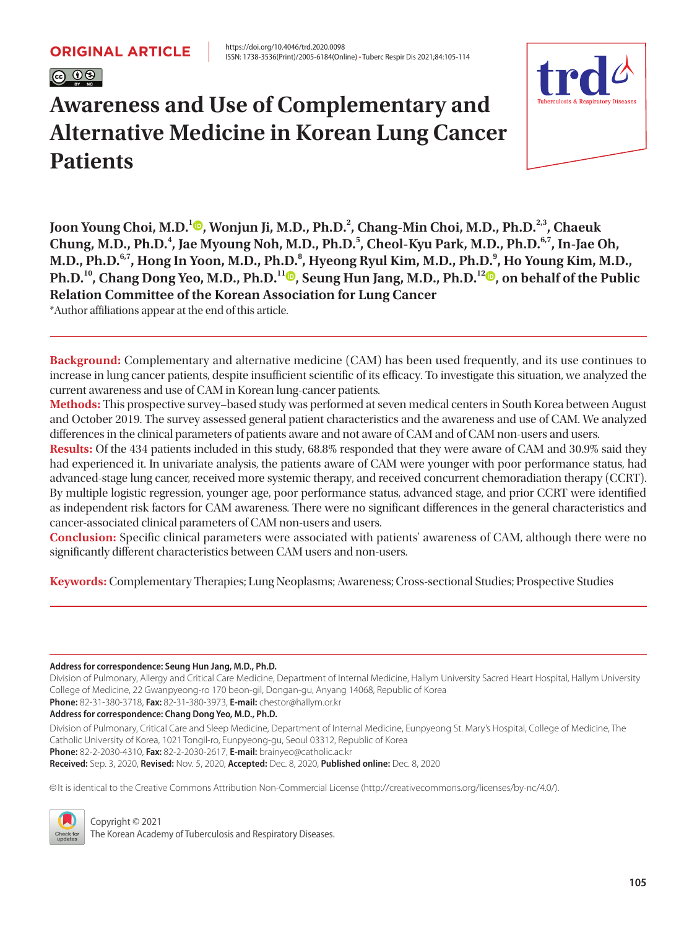

# ISSN: 1738-3536(Print)/2005-6184(Online) • Tuberc Respir Dis 2021;84:105-114

# **Awareness and Use of Complementary and Alternative Medicine in Korean Lung Cancer Patients**



**Joon Young Choi, M.D.<sup>1</sup> [,](https://orcid.org/0000-0001-6298-2204) Wonjun Ji, M.D., Ph.D.2 , Chang-Min Choi, M.D., Ph.D.2,3, Chaeuk**  Chung, M.D., Ph.D.<sup>4</sup>, Jae Myoung Noh, M.D., Ph.D.<sup>5</sup>, Cheol-Kyu Park, M.D., Ph.D.<sup>6,7</sup>, In-Jae Oh, M.D., Ph.D. $^{6,7}$ , Hong In Yoon, M.D., Ph.D. $^{8}$ , Hyeong Ryul Kim, M.D., Ph.D. $^{9}$ , Ho Young Kim, M.D., **Ph.D.**<sup>10</sup>[,](https://orcid.org/0000-0002-4103-7921) Chang Dong Yeo, M.D., Ph.D.<sup>11</sup><sup> $\Phi$ </sup>, Seung Hun Jang, M.D., Ph.D.<sup>1[2](https://orcid.org/0000-0001-5457-5780)</sup> $\Phi$ , on behalf of the Public **Relation Committee of the Korean Association for Lung Cancer** 

\*Author affiliations appear at the end of this article.

**Background:** Complementary and alternative medicine (CAM) has been used frequently, and its use continues to increase in lung cancer patients, despite insufficient scientific of its efficacy. To investigate this situation, we analyzed the current awareness and use of CAM in Korean lung-cancer patients.

**Methods:** This prospective survey–based study was performed at seven medical centers in South Korea between August and October 2019. The survey assessed general patient characteristics and the awareness and use of CAM. We analyzed differences in the clinical parameters of patients aware and not aware of CAM and of CAM non-users and users.

**Results:** Of the 434 patients included in this study, 68.8% responded that they were aware of CAM and 30.9% said they had experienced it. In univariate analysis, the patients aware of CAM were younger with poor performance status, had advanced-stage lung cancer, received more systemic therapy, and received concurrent chemoradiation therapy (CCRT). By multiple logistic regression, younger age, poor performance status, advanced stage, and prior CCRT were identified as independent risk factors for CAM awareness. There were no significant differences in the general characteristics and cancer-associated clinical parameters of CAM non-users and users.

**Conclusion:** Specific clinical parameters were associated with patients' awareness of CAM, although there were no significantly different characteristics between CAM users and non-users.

**Keywords:** Complementary Therapies; Lung Neoplasms; Awareness; Cross-sectional Studies; Prospective Studies

**Address for correspondence: Seung Hun Jang, M.D., Ph.D.**

Division of Pulmonary, Allergy and Critical Care Medicine, Department of Internal Medicine, Hallym University Sacred Heart Hospital, Hallym University College of Medicine, 22 Gwanpyeong-ro 170 beon-gil, Dongan-gu, Anyang 14068, Republic of Korea

**Phone:** 82-31-380-3718, **Fax:** 82-31-380-3973, **E-mail:** chestor@hallym.or.kr

**Address for correspondence: Chang Dong Yeo, M.D., Ph.D.**

Division of Pulmonary, Critical Care and Sleep Medicine, Department of Internal Medicine, Eunpyeong St. Mary's Hospital, College of Medicine, The Catholic University of Korea, 1021 Tongil-ro, Eunpyeong-gu, Seoul 03312, Republic of Korea **Phone:** 82-2-2030-4310, **Fax:** 82-2-2030-2617, **E-mail:** brainyeo@catholic.ac.kr **Received:** Sep. 3, 2020, **Revised:** Nov. 5, 2020, **Accepted:** Dec. 8, 2020, **Published online:** Dec. 8, 2020

cc It is identical to the Creative Commons Attribution Non-Commercial License (http://creativecommons.org/licenses/by-nc/4.0/).



Copyright © 2021 The Korean Academy of Tuberculosis and Respiratory Diseases.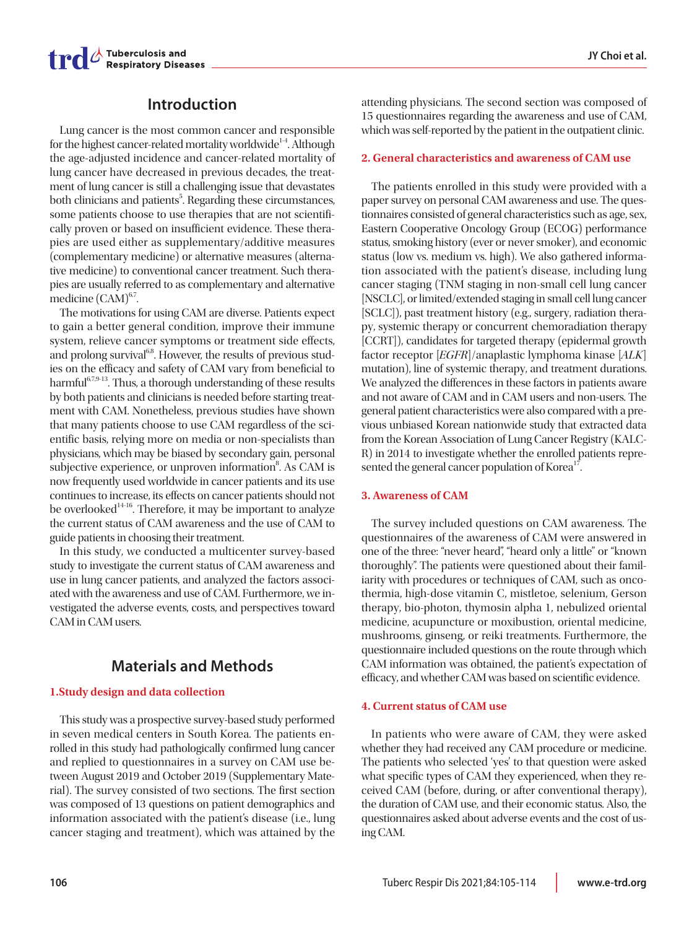# **Introduction**

Lung cancer is the most common cancer and responsible for the highest cancer-related mortality worldwide<sup>1-4</sup>. Although the age-adjusted incidence and cancer-related mortality of lung cancer have decreased in previous decades, the treatment of lung cancer is still a challenging issue that devastates both clinicians and patients<sup>5</sup>. Regarding these circumstances, some patients choose to use therapies that are not scientifically proven or based on insufficient evidence. These therapies are used either as supplementary/additive measures (complementary medicine) or alternative measures (alternative medicine) to conventional cancer treatment. Such therapies are usually referred to as complementary and alternative medicine (CAM)<sup>6,7</sup>.

The motivations for using CAM are diverse. Patients expect to gain a better general condition, improve their immune system, relieve cancer symptoms or treatment side effects, and prolong survival $68$ . However, the results of previous studies on the efficacy and safety of CAM vary from beneficial to harmful<sup>6,7,9-13</sup>. Thus, a thorough understanding of these results by both patients and clinicians is needed before starting treatment with CAM. Nonetheless, previous studies have shown that many patients choose to use CAM regardless of the scientific basis, relying more on media or non-specialists than physicians, which may be biased by secondary gain, personal subjective experience, or unproven information<sup>8</sup>. As CAM is now frequently used worldwide in cancer patients and its use continues to increase, its effects on cancer patients should not be overlooked<sup>14-16</sup>. Therefore, it may be important to analyze the current status of CAM awareness and the use of CAM to guide patients in choosing their treatment.

In this study, we conducted a multicenter survey-based study to investigate the current status of CAM awareness and use in lung cancer patients, and analyzed the factors associated with the awareness and use of CAM. Furthermore, we investigated the adverse events, costs, and perspectives toward CAM in CAM users.

# **Materials and Methods**

## **1.Study design and data collection**

This study was a prospective survey-based study performed in seven medical centers in South Korea. The patients enrolled in this study had pathologically confirmed lung cancer and replied to questionnaires in a survey on CAM use between August 2019 and October 2019 (Supplementary Material). The survey consisted of two sections. The first section was composed of 13 questions on patient demographics and information associated with the patient's disease (i.e., lung cancer staging and treatment), which was attained by the

attending physicians. The second section was composed of 15 questionnaires regarding the awareness and use of CAM, which was self-reported by the patient in the outpatient clinic.

## **2. General characteristics and awareness of CAM use**

The patients enrolled in this study were provided with a paper survey on personal CAM awareness and use. The questionnaires consisted of general characteristics such as age, sex, Eastern Cooperative Oncology Group (ECOG) performance status, smoking history (ever or never smoker), and economic status (low vs. medium vs. high). We also gathered information associated with the patient's disease, including lung cancer staging (TNM staging in non-small cell lung cancer [NSCLC], or limited/extended staging in small cell lung cancer [SCLC]), past treatment history (e.g., surgery, radiation therapy, systemic therapy or concurrent chemoradiation therapy [CCRT]), candidates for targeted therapy (epidermal growth factor receptor [EGFR]/anaplastic lymphoma kinase [ALK] mutation), line of systemic therapy, and treatment durations. We analyzed the differences in these factors in patients aware and not aware of CAM and in CAM users and non-users. The general patient characteristics were also compared with a previous unbiased Korean nationwide study that extracted data from the Korean Association of Lung Cancer Registry (KALC-R) in 2014 to investigate whether the enrolled patients represented the general cancer population of Korea<sup>17</sup>.

## **3. Awareness of CAM**

The survey included questions on CAM awareness. The questionnaires of the awareness of CAM were answered in one of the three: "never heard", "heard only a little" or "known thoroughly". The patients were questioned about their familiarity with procedures or techniques of CAM, such as oncothermia, high-dose vitamin C, mistletoe, selenium, Gerson therapy, bio-photon, thymosin alpha 1, nebulized oriental medicine, acupuncture or moxibustion, oriental medicine, mushrooms, ginseng, or reiki treatments. Furthermore, the questionnaire included questions on the route through which CAM information was obtained, the patient's expectation of efficacy, and whether CAM was based on scientific evidence.

## **4. Current status of CAM use**

In patients who were aware of CAM, they were asked whether they had received any CAM procedure or medicine. The patients who selected 'yes' to that question were asked what specific types of CAM they experienced, when they received CAM (before, during, or after conventional therapy), the duration of CAM use, and their economic status. Also, the questionnaires asked about adverse events and the cost of using CAM.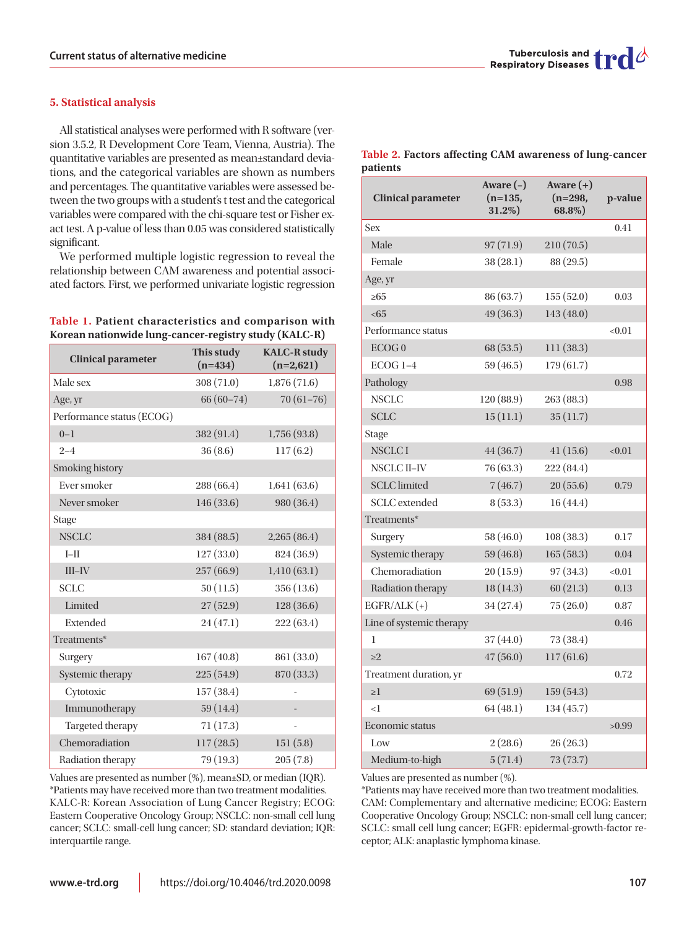## **5. Statistical analysis**

All statistical analyses were performed with R software (version 3.5.2, R Development Core Team, Vienna, Austria). The quantitative variables are presented as mean±standard deviations, and the categorical variables are shown as numbers and percentages. The quantitative variables were assessed between the two groups with a student's t test and the categorical variables were compared with the chi-square test or Fisher exact test. A p-value of less than 0.05 was considered statistically significant.

We performed multiple logistic regression to reveal the relationship between CAM awareness and potential associated factors. First, we performed univariate logistic regression

## **Table 1. Patient characteristics and comparison with Korean nationwide lung-cancer-registry study (KALC-R)**

| <b>Clinical parameter</b> | This study<br>$(n=434)$ | <b>KALC-R study</b><br>$(n=2,621)$ |
|---------------------------|-------------------------|------------------------------------|
| Male sex                  | 308 (71.0)              | 1,876(71.6)                        |
| Age, yr                   | $66(60-74)$             | $70(61-76)$                        |
| Performance status (ECOG) |                         |                                    |
| $0 - 1$                   | 382 (91.4)              | 1,756(93.8)                        |
| $2 - 4$                   | 36(8.6)                 | 117(6.2)                           |
| Smoking history           |                         |                                    |
| Ever smoker               | 288 (66.4)              | 1,641(63.6)                        |
| Never smoker              | 146(33.6)               | 980 (36.4)                         |
| Stage                     |                         |                                    |
| <b>NSCLC</b>              | 384 (88.5)              | 2,265(86.4)                        |
| $I-II$                    | 127(33.0)               | 824 (36.9)                         |
| $III$ -IV                 | 257(66.9)               | 1,410(63.1)                        |
| <b>SCLC</b>               | 50(11.5)                | 356 (13.6)                         |
| Limited                   | 27(52.9)                | 128(36.6)                          |
| Extended                  | 24 (47.1)               | 222 (63.4)                         |
| Treatments*               |                         |                                    |
| Surgery                   | 167(40.8)               | 861 (33.0)                         |
| Systemic therapy          | 225(54.9)               | 870 (33.3)                         |
| Cytotoxic                 | 157 (38.4)              |                                    |
| Immunotherapy             | 59 (14.4)               |                                    |
| Targeted therapy          | 71 (17.3)               |                                    |
| Chemoradiation            | 117(28.5)               | 151(5.8)                           |
| Radiation therapy         | 79 (19.3)               | 205(7.8)                           |

Values are presented as number (%), mean±SD, or median (IQR). \*Patients may have received more than two treatment modalities. KALC-R: Korean Association of Lung Cancer Registry; ECOG: Eastern Cooperative Oncology Group; NSCLC: non-small cell lung cancer; SCLC: small-cell lung cancer; SD: standard deviation; IQR: interquartile range.



#### **Table 2. Factors affecting CAM awareness of lung-cancer patients**

| <b>Clinical parameter</b> | Aware $(-)$<br>$(n=135,$<br>31.2%) | Aware $(+)$<br>(n=298,<br>$68.8\%)$ | p-value |
|---------------------------|------------------------------------|-------------------------------------|---------|
| Sex                       |                                    |                                     | 0.41    |
| Male                      | 97(71.9)                           | 210(70.5)                           |         |
| Female                    | 38 (28.1)                          | 88 (29.5)                           |         |
| Age, yr                   |                                    |                                     |         |
| $\geq 65$                 | 86 (63.7)                          | 155(52.0)                           | 0.03    |
| <65                       | 49 (36.3)                          | 143 (48.0)                          |         |
| Performance status        |                                    |                                     | < 0.01  |
| ECOG <sub>0</sub>         | 68 (53.5)                          | 111 (38.3)                          |         |
| ECOG 1-4                  | 59 (46.5)                          | 179 (61.7)                          |         |
| Pathology                 |                                    |                                     | 0.98    |
| NSCLC                     | 120 (88.9)                         | 263 (88.3)                          |         |
| <b>SCLC</b>               | 15(11.1)                           | 35(11.7)                            |         |
| Stage                     |                                    |                                     |         |
| <b>NSCLCI</b>             | 44 (36.7)                          | 41(15.6)                            | < 0.01  |
| NSCLC II–IV               | 76 (63.3)                          | 222 (84.4)                          |         |
| <b>SCLC</b> limited       | 7(46.7)                            | 20(55.6)                            | 0.79    |
| <b>SCLC</b> extended      | 8(53.3)                            | 16 (44.4)                           |         |
| Treatments*               |                                    |                                     |         |
| Surgery                   | 58 (46.0)                          | 108 (38.3)                          | 0.17    |
| Systemic therapy          | 59 (46.8)                          | 165(58.3)                           | 0.04    |
| Chemoradiation            | 20(15.9)                           | 97(34.3)                            | < 0.01  |
| Radiation therapy         | 18 (14.3)                          | 60(21.3)                            | 0.13    |
| $EGFR/ALK (+)$            | 34 (27.4)                          | 75(26.0)                            | 0.87    |
| Line of systemic therapy  |                                    |                                     | 0.46    |
| 1                         | 37(44.0)                           | 73 (38.4)                           |         |
| $\geq$ 2                  | 47(56.0)                           | 117(61.6)                           |         |
| Treatment duration, yr    |                                    |                                     | 0.72    |
| $\geq$ 1                  | 69 (51.9)                          | 159(54.3)                           |         |
| $\leq$                    | 64(48.1)                           | 134 (45.7)                          |         |
| Economic status           |                                    |                                     | >0.99   |
| Low                       | 2(28.6)                            | 26(26.3)                            |         |
| Medium-to-high            | 5(71.4)                            | 73 (73.7)                           |         |

Values are presented as number (%).

\*Patients may have received more than two treatment modalities. CAM: Complementary and alternative medicine; ECOG: Eastern Cooperative Oncology Group; NSCLC: non-small cell lung cancer; SCLC: small cell lung cancer; EGFR: epidermal-growth-factor receptor; ALK: anaplastic lymphoma kinase.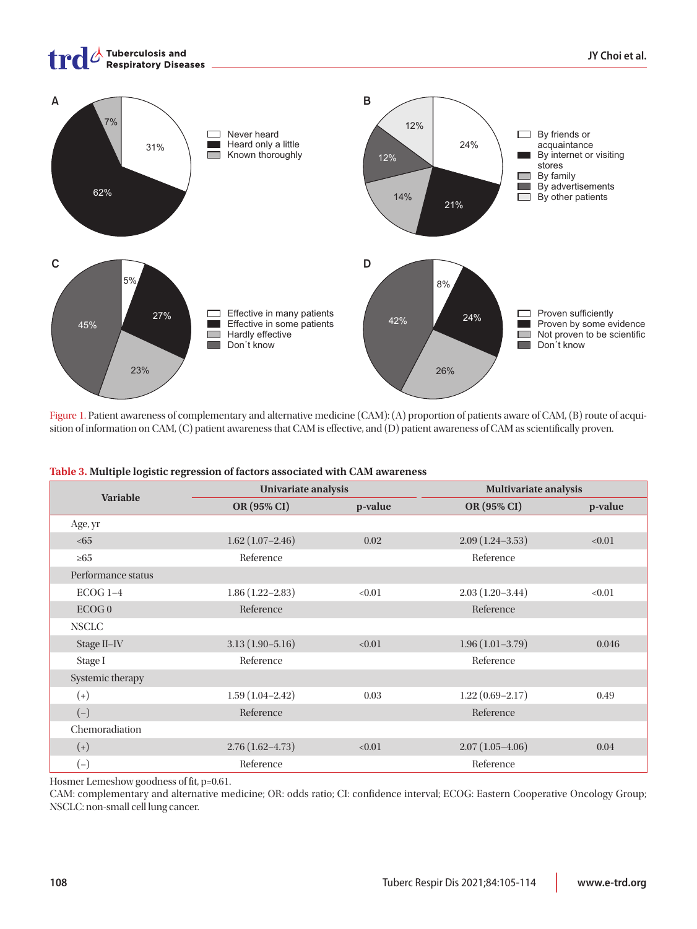

Figure 1. Patient awareness of complementary and alternative medicine (CAM): (A) proportion of patients aware of CAM, (B) route of acquisition of information on CAM, (C) patient awareness that CAM is effective, and (D) patient awareness of CAM as scientifically proven.

| <b>Variable</b>    | Univariate analysis |         | <b>Multivariate analysis</b> |         |  |
|--------------------|---------------------|---------|------------------------------|---------|--|
|                    | OR (95% CI)         | p-value | OR (95% CI)                  | p-value |  |
| Age, yr            |                     |         |                              |         |  |
| <65                | $1.62(1.07-2.46)$   | 0.02    | $2.09(1.24 - 3.53)$          | < 0.01  |  |
| $\geq 65$          | Reference           |         | Reference                    |         |  |
| Performance status |                     |         |                              |         |  |
| $ECOG$ 1-4         | $1.86(1.22 - 2.83)$ | < 0.01  | $2.03(1.20-3.44)$            | < 0.01  |  |
| ECOGO              | Reference           |         | Reference                    |         |  |

#### **Table 3. Multiple logistic regression of factors associated with CAM awareness**

| 180, y1            |                     |        |                     |        |
|--------------------|---------------------|--------|---------------------|--------|
| <65                | $1.62(1.07-2.46)$   | 0.02   | $2.09(1.24 - 3.53)$ | < 0.01 |
| $\geq 65$          | Reference           |        | Reference           |        |
| Performance status |                     |        |                     |        |
| $ECOG1-4$          | $1.86(1.22 - 2.83)$ | < 0.01 | $2.03(1.20-3.44)$   | < 0.01 |
| ECOG0              | Reference           |        | Reference           |        |
| <b>NSCLC</b>       |                     |        |                     |        |
| Stage II-IV        | $3.13(1.90 - 5.16)$ | < 0.01 | $1.96(1.01-3.79)$   | 0.046  |
| Stage I            | Reference           |        | Reference           |        |
| Systemic therapy   |                     |        |                     |        |
| $^{(+)}$           | $1.59(1.04 - 2.42)$ | 0.03   | $1.22(0.69 - 2.17)$ | 0.49   |
| $(-)$              | Reference           |        | Reference           |        |
| Chemoradiation     |                     |        |                     |        |
| $(+)$              | $2.76(1.62 - 4.73)$ | < 0.01 | $2.07(1.05-4.06)$   | 0.04   |
| $(-)$              | Reference           |        | Reference           |        |

Hosmer Lemeshow goodness of fit, p=0.61.

CAM: complementary and alternative medicine; OR: odds ratio; CI: confidence interval; ECOG: Eastern Cooperative Oncology Group; NSCLC: non-small cell lung cancer.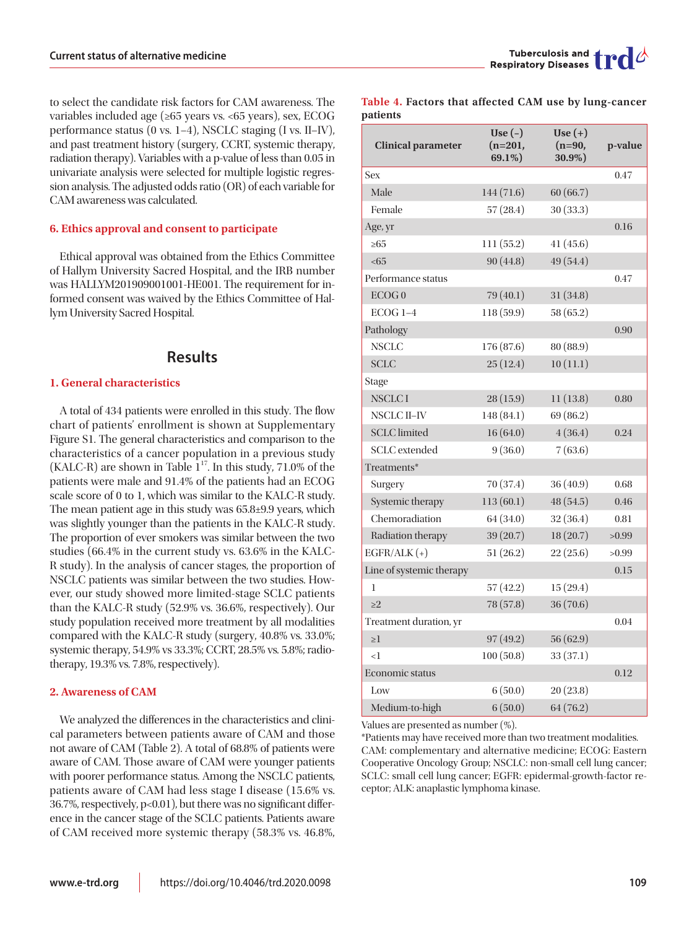to select the candidate risk factors for CAM awareness. The variables included age (≥65 years vs. <65 years), sex, ECOG performance status (0 vs. 1–4), NSCLC staging (I vs. II–IV), and past treatment history (surgery, CCRT, systemic therapy, radiation therapy). Variables with a p-value of less than 0.05 in univariate analysis were selected for multiple logistic regression analysis. The adjusted odds ratio (OR) of each variable for CAM awareness was calculated.

## **6. Ethics approval and consent to participate**

Ethical approval was obtained from the Ethics Committee of Hallym University Sacred Hospital, and the IRB number was HALLYM201909001001-HE001. The requirement for informed consent was waived by the Ethics Committee of Hallym University Sacred Hospital.

## **Results**

## **1. General characteristics**

A total of 434 patients were enrolled in this study. The flow chart of patients' enrollment is shown at Supplementary Figure S1. The general characteristics and comparison to the characteristics of a cancer population in a previous study (KALC-R) are shown in Table  $1^{17}$ . In this study, 71.0% of the patients were male and 91.4% of the patients had an ECOG scale score of 0 to 1, which was similar to the KALC-R study. The mean patient age in this study was 65.8±9.9 years, which was slightly younger than the patients in the KALC-R study. The proportion of ever smokers was similar between the two studies (66.4% in the current study vs. 63.6% in the KALC-R study). In the analysis of cancer stages, the proportion of NSCLC patients was similar between the two studies. However, our study showed more limited-stage SCLC patients than the KALC-R study (52.9% vs. 36.6%, respectively). Our study population received more treatment by all modalities compared with the KALC-R study (surgery, 40.8% vs. 33.0%; systemic therapy, 54.9% vs 33.3%; CCRT, 28.5% vs. 5.8%; radiotherapy, 19.3% vs. 7.8%, respectively).

#### **2. Awareness of CAM**

We analyzed the differences in the characteristics and clinical parameters between patients aware of CAM and those not aware of CAM (Table 2). A total of 68.8% of patients were aware of CAM. Those aware of CAM were younger patients with poorer performance status. Among the NSCLC patients, patients aware of CAM had less stage I disease (15.6% vs. 36.7%, respectively, p<0.01), but there was no significant difference in the cancer stage of the SCLC patients. Patients aware of CAM received more systemic therapy (58.3% vs. 46.8%,

|          |  |  |  | Table 4. Factors that affected CAM use by lung-cancer |
|----------|--|--|--|-------------------------------------------------------|
| patients |  |  |  |                                                       |

| <b>Clinical parameter</b> | Use $(-)$<br>$(n=201,$<br>69.1%) | Use $(+)$<br>$(n=90,$<br>30.9%) | p-value |
|---------------------------|----------------------------------|---------------------------------|---------|
| <b>Sex</b>                |                                  |                                 | 0.47    |
| Male                      | 144 (71.6)                       | 60(66.7)                        |         |
| Female                    | 57(28.4)                         | 30(33.3)                        |         |
| Age, yr                   |                                  |                                 | 0.16    |
| $\geq 65$                 | 111 (55.2)                       | 41(45.6)                        |         |
| <65                       | 90(44.8)                         | 49 (54.4)                       |         |
| Performance status        |                                  |                                 | 0.47    |
| ECOG0                     | 79 (40.1)                        | 31 (34.8)                       |         |
| ECOG <sub>1-4</sub>       | 118(59.9)                        | 58 (65.2)                       |         |
| Pathology                 |                                  |                                 | 0.90    |
| <b>NSCLC</b>              | 176 (87.6)                       | 80 (88.9)                       |         |
| <b>SCLC</b>               | 25(12.4)                         | 10(11.1)                        |         |
| Stage                     |                                  |                                 |         |
| <b>NSCLCI</b>             | 28(15.9)                         | 11(13.8)                        | 0.80    |
| <b>NSCLC II-IV</b>        | 148 (84.1)                       | 69 (86.2)                       |         |
| <b>SCLC</b> limited       | 16 (64.0)                        | 4(36.4)                         | 0.24    |
| <b>SCLC</b> extended      | 9(36.0)                          | 7(63.6)                         |         |
| Treatments*               |                                  |                                 |         |
| Surgery                   | 70 (37.4)                        | 36 (40.9)                       | 0.68    |
| Systemic therapy          | 113(60.1)                        | 48 (54.5)                       | 0.46    |
| Chemoradiation            | 64 (34.0)                        | 32(36.4)                        | 0.81    |
| Radiation therapy         | 39 (20.7)                        | 18(20.7)                        | >0.99   |
| $EGFR/ALK (+)$            | 51(26.2)                         | 22(25.6)                        | >0.99   |
| Line of systemic therapy  |                                  |                                 | 0.15    |
| 1                         | 57(42.2)                         | 15(29.4)                        |         |
| >2                        | 78 (57.8)                        | 36 (70.6)                       |         |
| Treatment duration, yr    |                                  |                                 | 0.04    |
| $\geq$ 1                  | 97(49.2)                         | 56 (62.9)                       |         |
| $\leq$ 1                  | 100(50.8)                        | 33 (37.1)                       |         |
| Economic status           |                                  |                                 | 0.12    |
| Low                       | 6(50.0)                          | 20(23.8)                        |         |
| Medium-to-high            | 6(50.0)                          | 64 (76.2)                       |         |

Values are presented as number (%).

\*Patients may have received more than two treatment modalities. CAM: complementary and alternative medicine; ECOG: Eastern Cooperative Oncology Group; NSCLC: non-small cell lung cancer; SCLC: small cell lung cancer; EGFR: epidermal-growth-factor receptor; ALK: anaplastic lymphoma kinase.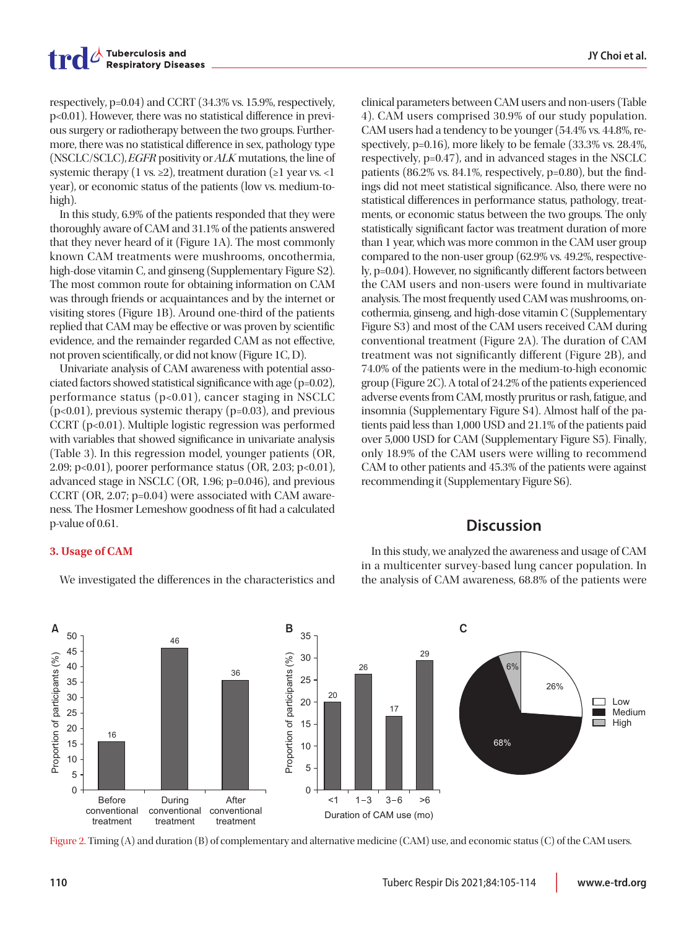respectively, p=0.04) and CCRT (34.3% vs. 15.9%, respectively, p<0.01). However, there was no statistical difference in previous surgery or radiotherapy between the two groups. Furthermore, there was no statistical difference in sex, pathology type (NSCLC/SCLC), EGFR positivity or ALK mutations, the line of systemic therapy (1 vs.  $\geq$ 2), treatment duration ( $\geq$ 1 year vs. <1 year), or economic status of the patients (low vs. medium-tohigh).

In this study, 6.9% of the patients responded that they were thoroughly aware of CAM and 31.1% of the patients answered that they never heard of it (Figure 1A). The most commonly known CAM treatments were mushrooms, oncothermia, high-dose vitamin C, and ginseng (Supplementary Figure S2). The most common route for obtaining information on CAM was through friends or acquaintances and by the internet or visiting stores (Figure 1B). Around one-third of the patients replied that CAM may be effective or was proven by scientific evidence, and the remainder regarded CAM as not effective, not proven scientifically, or did not know (Figure 1C, D).

Univariate analysis of CAM awareness with potential associated factors showed statistical significance with age (p=0.02), performance status  $(p<0.01)$ , cancer staging in NSCLC  $(p<0.01)$ , previous systemic therapy  $(p=0.03)$ , and previous CCRT (p<0.01). Multiple logistic regression was performed with variables that showed significance in univariate analysis (Table 3). In this regression model, younger patients (OR, 2.09; p<0.01), poorer performance status (OR, 2.03; p<0.01), advanced stage in NSCLC (OR, 1.96; p=0.046), and previous CCRT (OR, 2.07; p=0.04) were associated with CAM awareness. The Hosmer Lemeshow goodness of fit had a calculated p-value of 0.61.

clinical parameters between CAM users and non-users (Table 4). CAM users comprised 30.9% of our study population. CAM users had a tendency to be younger (54.4% vs. 44.8%, respectively, p=0.16), more likely to be female (33.3% vs. 28.4%, respectively, p=0.47), and in advanced stages in the NSCLC patients (86.2% vs. 84.1%, respectively, p=0.80), but the findings did not meet statistical significance. Also, there were no statistical differences in performance status, pathology, treatments, or economic status between the two groups. The only statistically significant factor was treatment duration of more than 1 year, which was more common in the CAM user group compared to the non-user group (62.9% vs. 49.2%, respectively, p=0.04). However, no significantly different factors between the CAM users and non-users were found in multivariate analysis. The most frequently used CAM was mushrooms, oncothermia, ginseng, and high-dose vitamin C (Supplementary Figure S3) and most of the CAM users received CAM during conventional treatment (Figure 2A). The duration of CAM treatment was not significantly different (Figure 2B), and 74.0% of the patients were in the medium-to-high economic group (Figure 2C). A total of 24.2% of the patients experienced adverse events from CAM, mostly pruritus or rash, fatigue, and insomnia (Supplementary Figure S4). Almost half of the patients paid less than 1,000 USD and 21.1% of the patients paid over 5,000 USD for CAM (Supplementary Figure S5). Finally, only 18.9% of the CAM users were willing to recommend CAM to other patients and 45.3% of the patients were against recommending it (Supplementary Figure S6).

## **Discussion**

## **3. Usage of CAM**

We investigated the differences in the characteristics and

In this study, we analyzed the awareness and usage of CAM in a multicenter survey-based lung cancer population. In the analysis of CAM awareness, 68.8% of the patients were



Figure 2. Timing (A) and duration (B) of complementary and alternative medicine (CAM) use, and economic status (C) of the CAM users.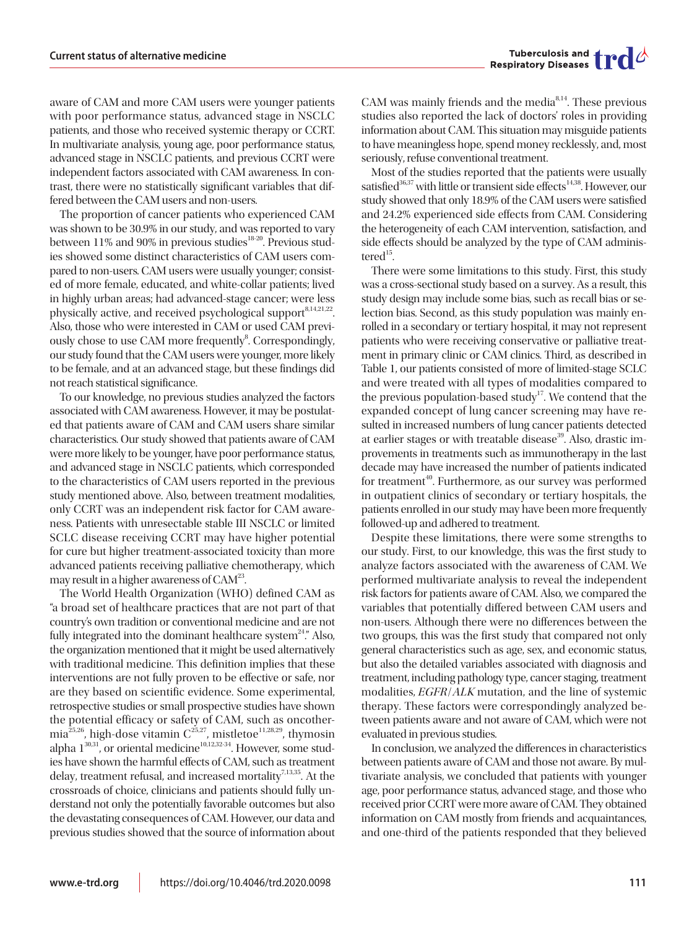aware of CAM and more CAM users were younger patients with poor performance status, advanced stage in NSCLC patients, and those who received systemic therapy or CCRT. In multivariate analysis, young age, poor performance status, advanced stage in NSCLC patients, and previous CCRT were independent factors associated with CAM awareness. In contrast, there were no statistically significant variables that differed between the CAM users and non-users.

The proportion of cancer patients who experienced CAM was shown to be 30.9% in our study, and was reported to vary between 11% and 90% in previous studies<sup>18-20</sup>. Previous studies showed some distinct characteristics of CAM users compared to non-users. CAM users were usually younger; consisted of more female, educated, and white-collar patients; lived in highly urban areas; had advanced-stage cancer; were less physically active, and received psychological support<sup>8,14,21,22</sup>. Also, those who were interested in CAM or used CAM previously chose to use CAM more frequently<sup>8</sup>. Correspondingly, our study found that the CAM users were younger, more likely to be female, and at an advanced stage, but these findings did not reach statistical significance.

To our knowledge, no previous studies analyzed the factors associated with CAM awareness. However, it may be postulated that patients aware of CAM and CAM users share similar characteristics. Our study showed that patients aware of CAM were more likely to be younger, have poor performance status, and advanced stage in NSCLC patients, which corresponded to the characteristics of CAM users reported in the previous study mentioned above. Also, between treatment modalities, only CCRT was an independent risk factor for CAM awareness. Patients with unresectable stable III NSCLC or limited SCLC disease receiving CCRT may have higher potential for cure but higher treatment-associated toxicity than more advanced patients receiving palliative chemotherapy, which may result in a higher awareness of CAM<sup>23</sup>.

The World Health Organization (WHO) defined CAM as "a broad set of healthcare practices that are not part of that country's own tradition or conventional medicine and are not fully integrated into the dominant healthcare system<sup>24</sup>." Also, the organization mentioned that it might be used alternatively with traditional medicine. This definition implies that these interventions are not fully proven to be effective or safe, nor are they based on scientific evidence. Some experimental, retrospective studies or small prospective studies have shown the potential efficacy or safety of CAM, such as oncothermia<sup>25,26</sup>, high-dose vitamin  $C^{25,27}$ , mistletoe<sup>11,28,29</sup>, thymosin alpha  $1^{30,31}$ , or oriental medicine $1^{10,12,32\cdot34}$ . However, some studies have shown the harmful effects of CAM, such as treatment delay, treatment refusal, and increased mortality<sup>7,13,35</sup>. At the crossroads of choice, clinicians and patients should fully understand not only the potentially favorable outcomes but also the devastating consequences of CAM. However, our data and previous studies showed that the source of information about

CAM was mainly friends and the media<sup>8,14</sup>. These previous studies also reported the lack of doctors' roles in providing information about CAM. This situation may misguide patients to have meaningless hope, spend money recklessly, and, most seriously, refuse conventional treatment.

Most of the studies reported that the patients were usually satisfied<sup>36,37</sup> with little or transient side effects<sup>14,38</sup>. However, our study showed that only 18.9% of the CAM users were satisfied and 24.2% experienced side effects from CAM. Considering the heterogeneity of each CAM intervention, satisfaction, and side effects should be analyzed by the type of CAM administered $15$ .

There were some limitations to this study. First, this study was a cross-sectional study based on a survey. As a result, this study design may include some bias, such as recall bias or selection bias. Second, as this study population was mainly enrolled in a secondary or tertiary hospital, it may not represent patients who were receiving conservative or palliative treatment in primary clinic or CAM clinics. Third, as described in Table 1, our patients consisted of more of limited-stage SCLC and were treated with all types of modalities compared to the previous population-based study<sup>17</sup>. We contend that the expanded concept of lung cancer screening may have resulted in increased numbers of lung cancer patients detected at earlier stages or with treatable disease<sup>39</sup>. Also, drastic improvements in treatments such as immunotherapy in the last decade may have increased the number of patients indicated for treatment<sup>40</sup>. Furthermore, as our survey was performed in outpatient clinics of secondary or tertiary hospitals, the patients enrolled in our study may have been more frequently followed-up and adhered to treatment.

Despite these limitations, there were some strengths to our study. First, to our knowledge, this was the first study to analyze factors associated with the awareness of CAM. We performed multivariate analysis to reveal the independent risk factors for patients aware of CAM. Also, we compared the variables that potentially differed between CAM users and non-users. Although there were no differences between the two groups, this was the first study that compared not only general characteristics such as age, sex, and economic status, but also the detailed variables associated with diagnosis and treatment, including pathology type, cancer staging, treatment modalities, EGFR/ALK mutation, and the line of systemic therapy. These factors were correspondingly analyzed between patients aware and not aware of CAM, which were not evaluated in previous studies.

In conclusion, we analyzed the differences in characteristics between patients aware of CAM and those not aware. By multivariate analysis, we concluded that patients with younger age, poor performance status, advanced stage, and those who received prior CCRT were more aware of CAM. They obtained information on CAM mostly from friends and acquaintances, and one-third of the patients responded that they believed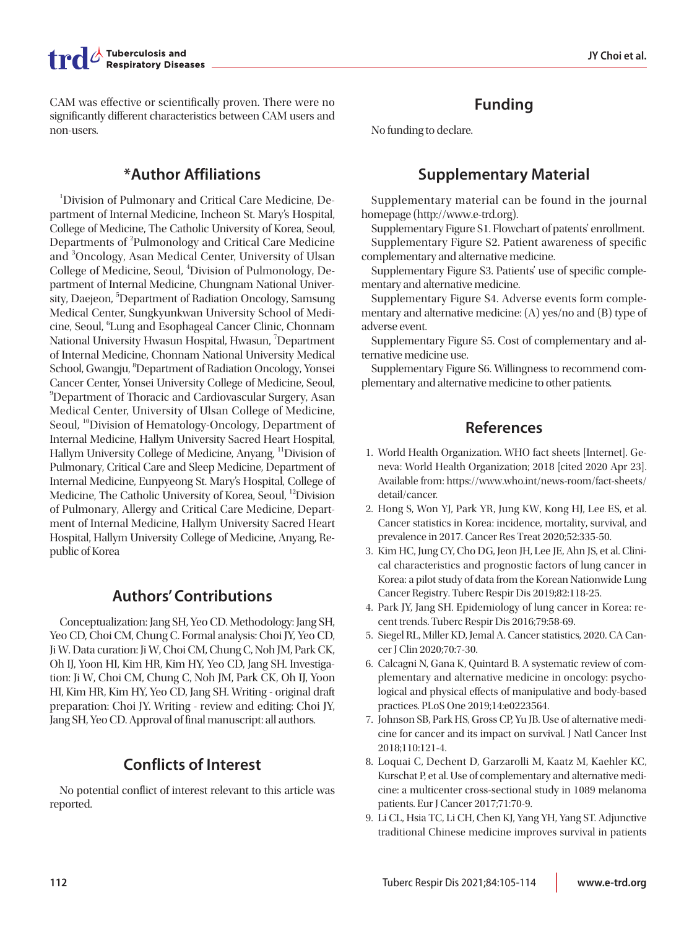CAM was effective or scientifically proven. There were no significantly different characteristics between CAM users and non-users.

## **\*Author Affiliations**

1 Division of Pulmonary and Critical Care Medicine, Department of Internal Medicine, Incheon St. Mary's Hospital, College of Medicine, The Catholic University of Korea, Seoul, Departments of <sup>2</sup>Pulmonology and Critical Care Medicine and <sup>3</sup>Oncology, Asan Medical Center, University of Ulsan College of Medicine, Seoul, <sup>4</sup>Division of Pulmonology, Department of Internal Medicine, Chungnam National University, Daejeon, <sup>5</sup>Department of Radiation Oncology, Samsung Medical Center, Sungkyunkwan University School of Medicine, Seoul, <sup>6</sup>Lung and Esophageal Cancer Clinic, Chonnam National University Hwasun Hospital, Hwasun, <sup>7</sup>Department of Internal Medicine, Chonnam National University Medical School, Gwangju, <sup>8</sup>Department of Radiation Oncology, Yonsei Cancer Center, Yonsei University College of Medicine, Seoul, 9 Department of Thoracic and Cardiovascular Surgery, Asan Medical Center, University of Ulsan College of Medicine, Seoul, <sup>10</sup>Division of Hematology-Oncology, Department of Internal Medicine, Hallym University Sacred Heart Hospital, Hallym University College of Medicine, Anyang, <sup>11</sup>Division of Pulmonary, Critical Care and Sleep Medicine, Department of Internal Medicine, Eunpyeong St. Mary's Hospital, College of Medicine, The Catholic University of Korea, Seoul, <sup>12</sup>Division of Pulmonary, Allergy and Critical Care Medicine, Department of Internal Medicine, Hallym University Sacred Heart Hospital, Hallym University College of Medicine, Anyang, Republic of Korea

# **Authors' Contributions**

Conceptualization: Jang SH, Yeo CD. Methodology: Jang SH, Yeo CD, Choi CM, Chung C. Formal analysis: Choi JY, Yeo CD, Ji W. Data curation: Ji W, Choi CM, Chung C, Noh JM, Park CK, Oh IJ, Yoon HI, Kim HR, Kim HY, Yeo CD, Jang SH. Investigation: Ji W, Choi CM, Chung C, Noh JM, Park CK, Oh IJ, Yoon HI, Kim HR, Kim HY, Yeo CD, Jang SH. Writing - original draft preparation: Choi JY. Writing - review and editing: Choi JY, Jang SH, Yeo CD. Approval of final manuscript: all authors.

# **Conflicts of Interest**

No potential conflict of interest relevant to this article was reported.

# **Funding**

No funding to declare.

# **Supplementary Material**

Supplementary material can be found in the journal homepage (http://www.e-trd.org).

Supplementary Figure S1. Flowchart of patents' enrollment. Supplementary Figure S2. Patient awareness of specific complementary and alternative medicine.

Supplementary Figure S3. Patients' use of specific complementary and alternative medicine.

Supplementary Figure S4. Adverse events form complementary and alternative medicine: (A) yes/no and (B) type of adverse event.

Supplementary Figure S5. Cost of complementary and alternative medicine use.

Supplementary Figure S6. Willingness to recommend complementary and alternative medicine to other patients.

## **References**

- 1. World Health Organization. WHO fact sheets [Internet]. Geneva: World Health Organization; 2018 [cited 2020 Apr 23]. Available from: [https://www.who.int/news-room/fact-sheets/](https://www.who.int/news-room/fact-sheets/detail/cancer) [detail/cancer.](https://www.who.int/news-room/fact-sheets/detail/cancer)
- 2. Hong S, Won YJ, Park YR, Jung KW, Kong HJ, Lee ES, et al. Cancer statistics in Korea: incidence, mortality, survival, and prevalence in 2017. Cancer Res Treat 2020;52:335-50.
- 3. Kim HC, Jung CY, Cho DG, Jeon JH, Lee JE, Ahn JS, et al. Clinical characteristics and prognostic factors of lung cancer in Korea: a pilot study of data from the Korean Nationwide Lung Cancer Registry. Tuberc Respir Dis 2019;82:118-25.
- 4. Park JY, Jang SH. Epidemiology of lung cancer in Korea: recent trends. Tuberc Respir Dis 2016;79:58-69.
- 5. Siegel RL, Miller KD, Jemal A. Cancer statistics, 2020. CA Cancer J Clin 2020;70:7-30.
- 6. Calcagni N, Gana K, Quintard B. A systematic review of complementary and alternative medicine in oncology: psychological and physical effects of manipulative and body-based practices. PLoS One 2019;14:e0223564.
- 7. Johnson SB, Park HS, Gross CP, Yu JB. Use of alternative medicine for cancer and its impact on survival. J Natl Cancer Inst 2018;110:121-4.
- 8. Loquai C, Dechent D, Garzarolli M, Kaatz M, Kaehler KC, Kurschat P, et al. Use of complementary and alternative medicine: a multicenter cross-sectional study in 1089 melanoma patients. Eur J Cancer 2017;71:70-9.
- 9. Li CL, Hsia TC, Li CH, Chen KJ, Yang YH, Yang ST. Adjunctive traditional Chinese medicine improves survival in patients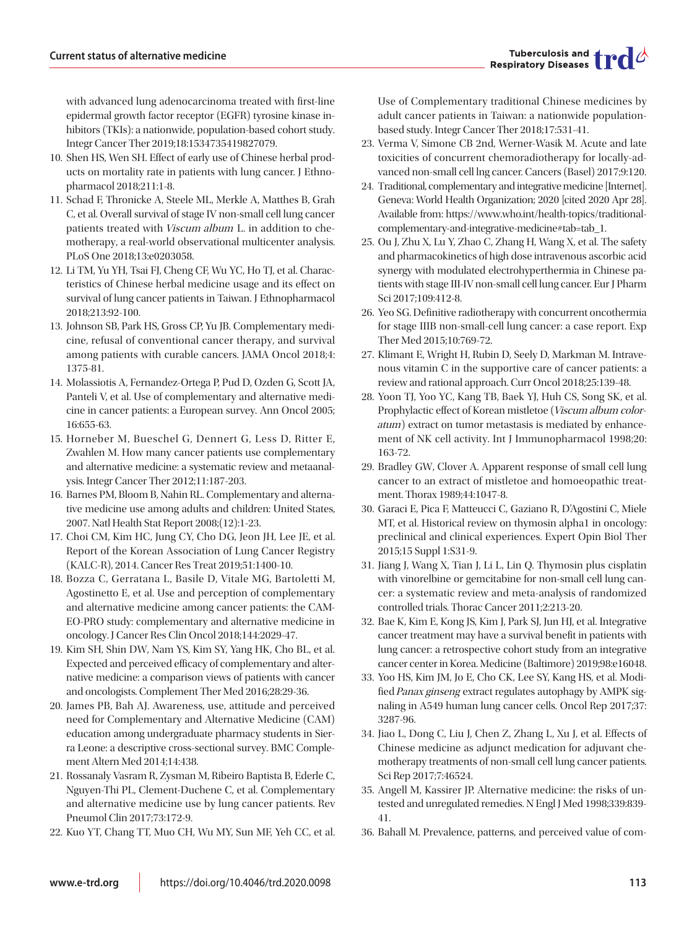with advanced lung adenocarcinoma treated with first-line epidermal growth factor receptor (EGFR) tyrosine kinase inhibitors (TKIs): a nationwide, population-based cohort study. Integr Cancer Ther 2019;18:1534735419827079.

- 10. Shen HS, Wen SH. Effect of early use of Chinese herbal products on mortality rate in patients with lung cancer. J Ethnopharmacol 2018;211:1-8.
- 11. Schad F, Thronicke A, Steele ML, Merkle A, Matthes B, Grah C, et al. Overall survival of stage IV non-small cell lung cancer patients treated with Viscum album L. in addition to chemotherapy, a real-world observational multicenter analysis. PLoS One 2018;13:e0203058.
- 12. Li TM, Yu YH, Tsai FJ, Cheng CF, Wu YC, Ho TJ, et al. Characteristics of Chinese herbal medicine usage and its effect on survival of lung cancer patients in Taiwan. J Ethnopharmacol 2018;213:92-100.
- 13. Johnson SB, Park HS, Gross CP, Yu JB. Complementary medicine, refusal of conventional cancer therapy, and survival among patients with curable cancers. JAMA Oncol 2018;4: 1375-81.
- 14. Molassiotis A, Fernandez-Ortega P, Pud D, Ozden G, Scott JA, Panteli V, et al. Use of complementary and alternative medicine in cancer patients: a European survey. Ann Oncol 2005; 16:655-63.
- 15. Horneber M, Bueschel G, Dennert G, Less D, Ritter E, Zwahlen M. How many cancer patients use complementary and alternative medicine: a systematic review and metaanalysis. Integr Cancer Ther 2012;11:187-203.
- 16. Barnes PM, Bloom B, Nahin RL. Complementary and alternative medicine use among adults and children: United States, 2007. Natl Health Stat Report 2008;(12):1-23.
- 17. Choi CM, Kim HC, Jung CY, Cho DG, Jeon JH, Lee JE, et al. Report of the Korean Association of Lung Cancer Registry (KALC-R), 2014. Cancer Res Treat 2019;51:1400-10.
- 18. Bozza C, Gerratana L, Basile D, Vitale MG, Bartoletti M, Agostinetto E, et al. Use and perception of complementary and alternative medicine among cancer patients: the CAM-EO-PRO study: complementary and alternative medicine in oncology. J Cancer Res Clin Oncol 2018;144:2029-47.
- 19. Kim SH, Shin DW, Nam YS, Kim SY, Yang HK, Cho BL, et al. Expected and perceived efficacy of complementary and alternative medicine: a comparison views of patients with cancer and oncologists. Complement Ther Med 2016;28:29-36.
- 20. James PB, Bah AJ. Awareness, use, attitude and perceived need for Complementary and Alternative Medicine (CAM) education among undergraduate pharmacy students in Sierra Leone: a descriptive cross-sectional survey. BMC Complement Altern Med 2014;14:438.
- 21. Rossanaly Vasram R, Zysman M, Ribeiro Baptista B, Ederle C, Nguyen-Thi PL, Clement-Duchene C, et al. Complementary and alternative medicine use by lung cancer patients. Rev Pneumol Clin 2017;73:172-9.
- 22. Kuo YT, Chang TT, Muo CH, Wu MY, Sun MF, Yeh CC, et al.

Use of Complementary traditional Chinese medicines by adult cancer patients in Taiwan: a nationwide populationbased study. Integr Cancer Ther 2018;17:531-41.

- 23. Verma V, Simone CB 2nd, Werner-Wasik M. Acute and late toxicities of concurrent chemoradiotherapy for locally-advanced non-small cell lng cancer. Cancers (Basel) 2017;9:120.
- 24. Traditional, complementary and integrative medicine [Internet]. Geneva: World Health Organization; 2020 [cited 2020 Apr 28]. Available from: https://www.who.int/health-topics/traditionalcomplementary-and-integrative-medicine#tab=tab\_1.
- 25. Ou J, Zhu X, Lu Y, Zhao C, Zhang H, Wang X, et al. The safety and pharmacokinetics of high dose intravenous ascorbic acid synergy with modulated electrohyperthermia in Chinese patients with stage III-IV non-small cell lung cancer. Eur J Pharm Sci 2017;109:412-8.
- 26. Yeo SG. Definitive radiotherapy with concurrent oncothermia for stage IIIB non-small-cell lung cancer: a case report. Exp Ther Med 2015;10:769-72.
- 27. Klimant E, Wright H, Rubin D, Seely D, Markman M. Intravenous vitamin C in the supportive care of cancer patients: a review and rational approach. Curr Oncol 2018;25:139-48.
- 28. Yoon TJ, Yoo YC, Kang TB, Baek YJ, Huh CS, Song SK, et al. Prophylactic effect of Korean mistletoe (Viscum album coloratum) extract on tumor metastasis is mediated by enhancement of NK cell activity. Int J Immunopharmacol 1998;20: 163-72.
- 29. Bradley GW, Clover A. Apparent response of small cell lung cancer to an extract of mistletoe and homoeopathic treatment. Thorax 1989;44:1047-8.
- 30. Garaci E, Pica F, Matteucci C, Gaziano R, D'Agostini C, Miele MT, et al. Historical review on thymosin alpha1 in oncology: preclinical and clinical experiences. Expert Opin Biol Ther 2015;15 Suppl 1:S31-9.
- 31. Jiang J, Wang X, Tian J, Li L, Lin Q. Thymosin plus cisplatin with vinorelbine or gemcitabine for non-small cell lung cancer: a systematic review and meta-analysis of randomized controlled trials. Thorac Cancer 2011;2:213-20.
- 32. Bae K, Kim E, Kong JS, Kim J, Park SJ, Jun HJ, et al. Integrative cancer treatment may have a survival benefit in patients with lung cancer: a retrospective cohort study from an integrative cancer center in Korea. Medicine (Baltimore) 2019;98:e16048.
- 33. Yoo HS, Kim JM, Jo E, Cho CK, Lee SY, Kang HS, et al. Modified Panax ginseng extract regulates autophagy by AMPK signaling in A549 human lung cancer cells. Oncol Rep 2017;37: 3287-96.
- 34. Jiao L, Dong C, Liu J, Chen Z, Zhang L, Xu J, et al. Effects of Chinese medicine as adjunct medication for adjuvant chemotherapy treatments of non-small cell lung cancer patients. Sci Rep 2017;7:46524.
- 35. Angell M, Kassirer JP. Alternative medicine: the risks of untested and unregulated remedies. N Engl J Med 1998;339:839- 41.
- 36. Bahall M. Prevalence, patterns, and perceived value of com-